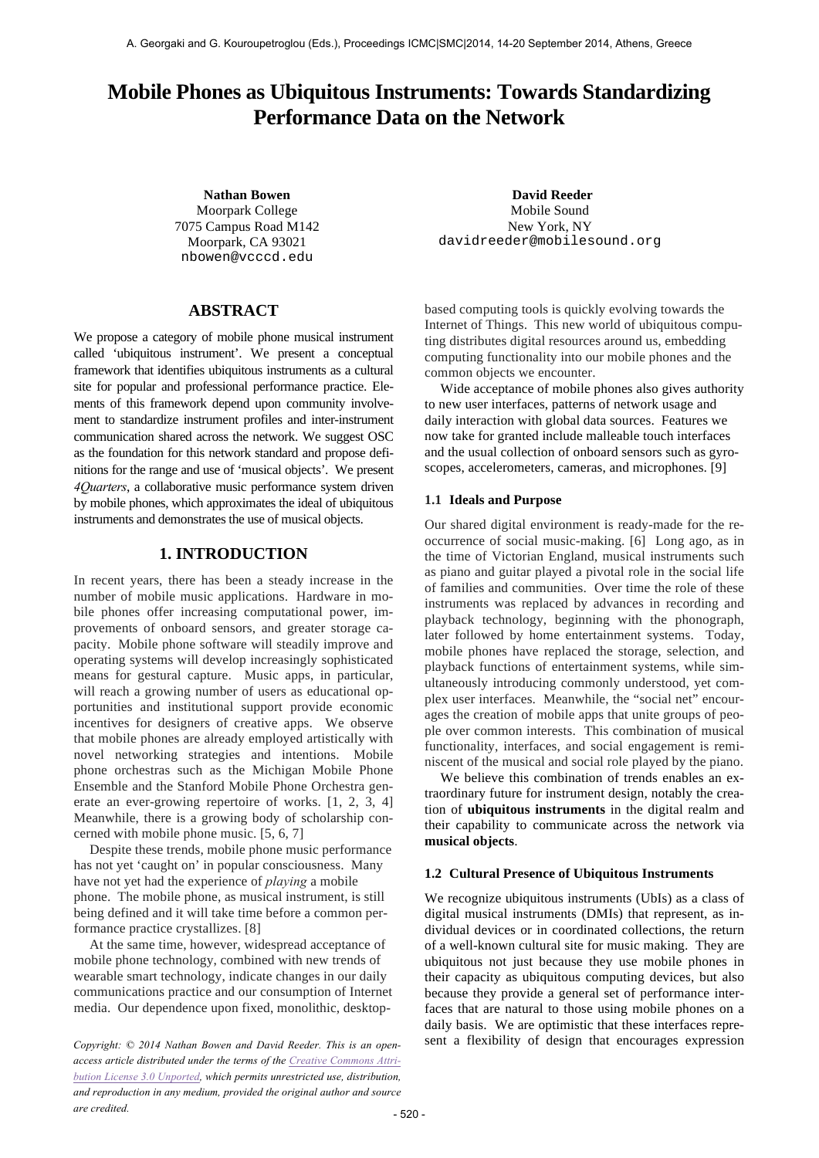# **Mobile Phones as Ubiquitous Instruments: Towards Standardizing Performance Data on the Network**

Moorpark College 7075 Campus Road M142 Moorpark, CA 93021 nbowen@vcccd.edu

# **ABSTRACT**

We propose a category of mobile phone musical instrument called 'ubiquitous instrument'. We present a conceptual framework that identifies ubiquitous instruments as a cultural site for popular and professional performance practice. Elements of this framework depend upon community involvement to standardize instrument profiles and inter-instrument communication shared across the network. We suggest OSC as the foundation for this network standard and propose definitions for the range and use of 'musical objects'. We present *4Quarters*, a collaborative music performance system driven by mobile phones, which approximates the ideal of ubiquitous instruments and demonstrates the use of musical objects.

# **1. INTRODUCTION**

In recent years, there has been a steady increase in the number of mobile music applications. Hardware in mobile phones offer increasing computational power, improvements of onboard sensors, and greater storage capacity. Mobile phone software will steadily improve and operating systems will develop increasingly sophisticated means for gestural capture. Music apps, in particular, will reach a growing number of users as educational opportunities and institutional support provide economic incentives for designers of creative apps. We observe that mobile phones are already employed artistically with novel networking strategies and intentions. Mobile phone orchestras such as the Michigan Mobile Phone Ensemble and the Stanford Mobile Phone Orchestra generate an ever-growing repertoire of works. [1, 2, 3, 4] Meanwhile, there is a growing body of scholarship concerned with mobile phone music. [5, 6, 7]

Despite these trends, mobile phone music performance has not yet 'caught on' in popular consciousness. Many have not yet had the experience of *playing* a mobile phone. The mobile phone, as musical instrument, is still being defined and it will take time before a common performance practice crystallizes. [8]

At the same time, however, widespread acceptance of mobile phone technology, combined with new trends of wearable smart technology, indicate changes in our daily communications practice and our consumption of Internet media. Our dependence upon fixed, monolithic, desktop-

*access article distributed under the terms of the Creative Commons Attribution License 3.0 Unported, which permits unrestricted use, distribution, and reproduction in any medium, provided the original author and source are credited.*

**Nathan Bowen David Reeder** Mobile Sound New York, NY davidreeder@mobilesound.org

> based computing tools is quickly evolving towards the Internet of Things. This new world of ubiquitous computing distributes digital resources around us, embedding computing functionality into our mobile phones and the common objects we encounter.

> Wide acceptance of mobile phones also gives authority to new user interfaces, patterns of network usage and daily interaction with global data sources. Features we now take for granted include malleable touch interfaces and the usual collection of onboard sensors such as gyroscopes, accelerometers, cameras, and microphones. [9]

#### **1.1 Ideals and Purpose**

Our shared digital environment is ready-made for the reoccurrence of social music-making. [6] Long ago, as in the time of Victorian England, musical instruments such as piano and guitar played a pivotal role in the social life of families and communities. Over time the role of these instruments was replaced by advances in recording and playback technology, beginning with the phonograph, later followed by home entertainment systems. Today, mobile phones have replaced the storage, selection, and playback functions of entertainment systems, while simultaneously introducing commonly understood, yet complex user interfaces. Meanwhile, the "social net" encourages the creation of mobile apps that unite groups of people over common interests. This combination of musical functionality, interfaces, and social engagement is reminiscent of the musical and social role played by the piano.

We believe this combination of trends enables an extraordinary future for instrument design, notably the creation of **ubiquitous instruments** in the digital realm and their capability to communicate across the network via **musical objects**.

#### **1.2 Cultural Presence of Ubiquitous Instruments**

We recognize ubiquitous instruments (UbIs) as a class of digital musical instruments (DMIs) that represent, as individual devices or in coordinated collections, the return of a well-known cultural site for music making. They are ubiquitous not just because they use mobile phones in their capacity as ubiquitous computing devices, but also because they provide a general set of performance interfaces that are natural to those using mobile phones on a daily basis. We are optimistic that these interfaces repre-*Copyright:* © 2014 Nathan Bowen and David Reeder. This is an open-<br>
sent a flexibility of design that encourages expression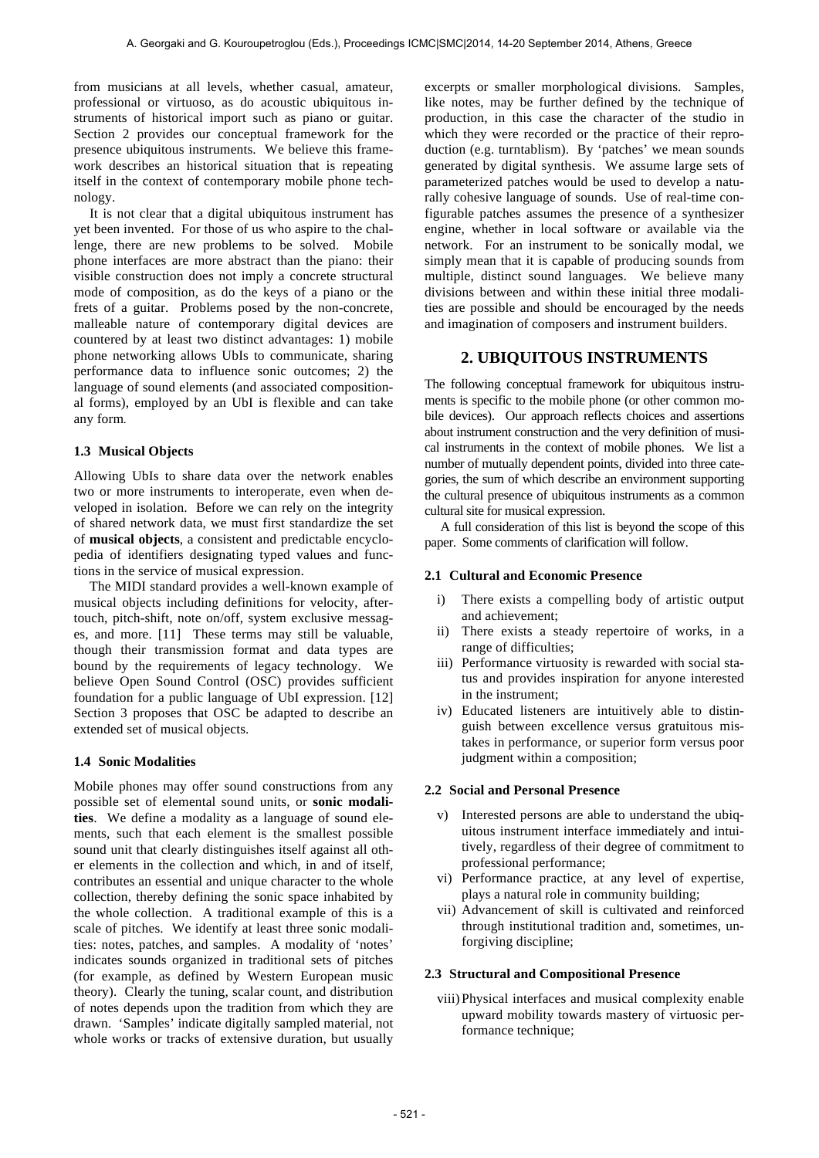from musicians at all levels, whether casual, amateur, professional or virtuoso, as do acoustic ubiquitous instruments of historical import such as piano or guitar. Section 2 provides our conceptual framework for the presence ubiquitous instruments. We believe this framework describes an historical situation that is repeating itself in the context of contemporary mobile phone technology.

It is not clear that a digital ubiquitous instrument has yet been invented. For those of us who aspire to the challenge, there are new problems to be solved. Mobile phone interfaces are more abstract than the piano: their visible construction does not imply a concrete structural mode of composition, as do the keys of a piano or the frets of a guitar. Problems posed by the non-concrete, malleable nature of contemporary digital devices are countered by at least two distinct advantages: 1) mobile phone networking allows UbIs to communicate, sharing performance data to influence sonic outcomes; 2) the language of sound elements (and associated compositional forms), employed by an UbI is flexible and can take any form*.*

### **1.3 Musical Objects**

Allowing UbIs to share data over the network enables two or more instruments to interoperate, even when developed in isolation. Before we can rely on the integrity of shared network data, we must first standardize the set of **musical objects**, a consistent and predictable encyclopedia of identifiers designating typed values and functions in the service of musical expression.

The MIDI standard provides a well-known example of musical objects including definitions for velocity, aftertouch, pitch-shift, note on/off, system exclusive messages, and more. [11] These terms may still be valuable, though their transmission format and data types are bound by the requirements of legacy technology. We believe Open Sound Control (OSC) provides sufficient foundation for a public language of UbI expression. [12] Section 3 proposes that OSC be adapted to describe an extended set of musical objects.

#### **1.4 Sonic Modalities**

Mobile phones may offer sound constructions from any possible set of elemental sound units, or **sonic modalities**. We define a modality as a language of sound elements, such that each element is the smallest possible sound unit that clearly distinguishes itself against all other elements in the collection and which, in and of itself, contributes an essential and unique character to the whole collection, thereby defining the sonic space inhabited by the whole collection. A traditional example of this is a scale of pitches. We identify at least three sonic modalities: notes, patches, and samples. A modality of 'notes' indicates sounds organized in traditional sets of pitches (for example, as defined by Western European music theory). Clearly the tuning, scalar count, and distribution of notes depends upon the tradition from which they are drawn. 'Samples' indicate digitally sampled material, not whole works or tracks of extensive duration, but usually

excerpts or smaller morphological divisions. Samples, like notes, may be further defined by the technique of production, in this case the character of the studio in which they were recorded or the practice of their reproduction (e.g. turntablism). By 'patches' we mean sounds generated by digital synthesis. We assume large sets of parameterized patches would be used to develop a naturally cohesive language of sounds. Use of real-time configurable patches assumes the presence of a synthesizer engine, whether in local software or available via the network. For an instrument to be sonically modal, we simply mean that it is capable of producing sounds from multiple, distinct sound languages. We believe many divisions between and within these initial three modalities are possible and should be encouraged by the needs and imagination of composers and instrument builders.

# **2. UBIQUITOUS INSTRUMENTS**

The following conceptual framework for ubiquitous instruments is specific to the mobile phone (or other common mobile devices). Our approach reflects choices and assertions about instrument construction and the very definition of musical instruments in the context of mobile phones. We list a number of mutually dependent points, divided into three categories, the sum of which describe an environment supporting the cultural presence of ubiquitous instruments as a common cultural site for musical expression.

A full consideration of this list is beyond the scope of this paper. Some comments of clarification will follow.

### **2.1 Cultural and Economic Presence**

- i) There exists a compelling body of artistic output and achievement;
- ii) There exists a steady repertoire of works, in a range of difficulties;
- iii) Performance virtuosity is rewarded with social status and provides inspiration for anyone interested in the instrument;
- iv) Educated listeners are intuitively able to distinguish between excellence versus gratuitous mistakes in performance, or superior form versus poor judgment within a composition;

#### **2.2 Social and Personal Presence**

- v) Interested persons are able to understand the ubiquitous instrument interface immediately and intuitively, regardless of their degree of commitment to professional performance;
- vi) Performance practice, at any level of expertise, plays a natural role in community building;
- vii) Advancement of skill is cultivated and reinforced through institutional tradition and, sometimes, unforgiving discipline;

#### **2.3 Structural and Compositional Presence**

viii) Physical interfaces and musical complexity enable upward mobility towards mastery of virtuosic performance technique;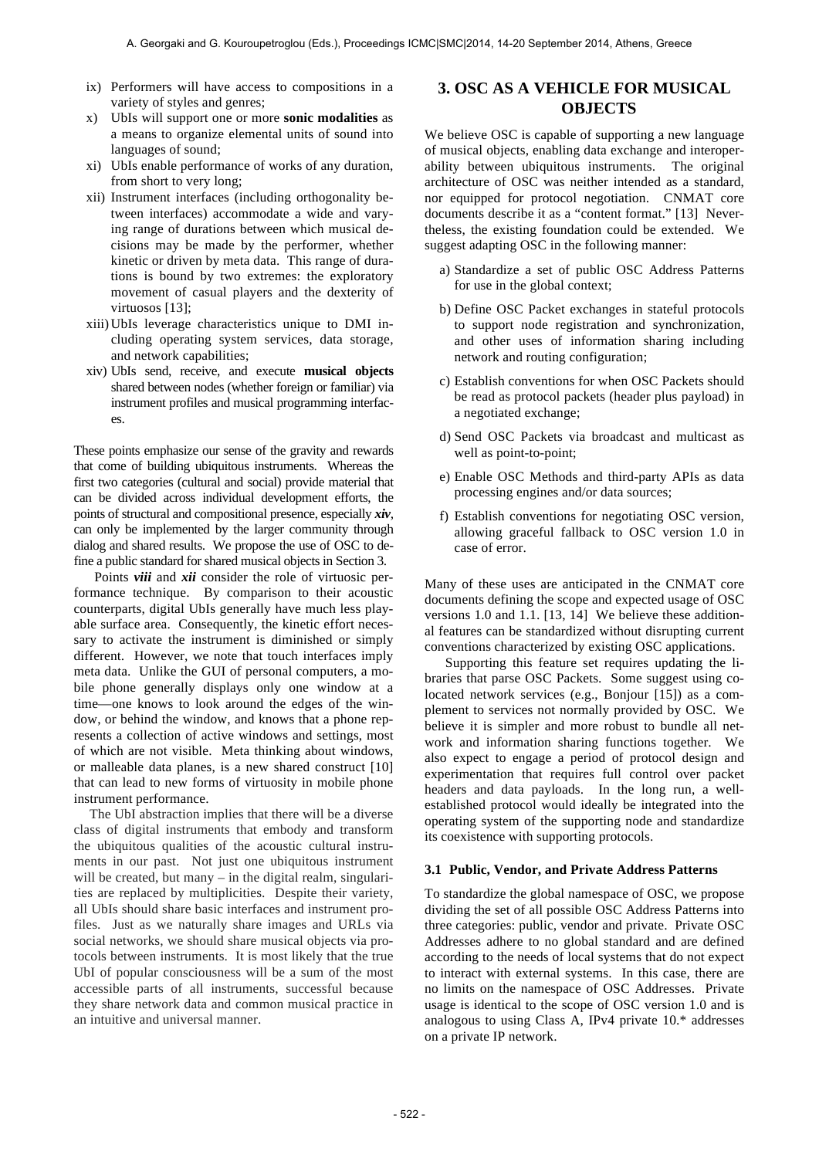- ix) Performers will have access to compositions in a variety of styles and genres;
- x) UbIs will support one or more **sonic modalities** as a means to organize elemental units of sound into languages of sound;
- xi) UbIs enable performance of works of any duration, from short to very long;
- xii) Instrument interfaces (including orthogonality between interfaces) accommodate a wide and varying range of durations between which musical decisions may be made by the performer, whether kinetic or driven by meta data. This range of durations is bound by two extremes: the exploratory movement of casual players and the dexterity of virtuosos [13];
- xiii)UbIs leverage characteristics unique to DMI including operating system services, data storage, and network capabilities;
- xiv) UbIs send, receive, and execute **musical objects**  shared between nodes (whether foreign or familiar) via instrument profiles and musical programming interfaces.

These points emphasize our sense of the gravity and rewards that come of building ubiquitous instruments. Whereas the first two categories (cultural and social) provide material that can be divided across individual development efforts, the points of structural and compositional presence, especially *xiv*, can only be implemented by the larger community through dialog and shared results. We propose the use of OSC to define a public standard for shared musical objects in Section 3.

 Points *viii* and *xii* consider the role of virtuosic performance technique. By comparison to their acoustic counterparts, digital UbIs generally have much less playable surface area. Consequently, the kinetic effort necessary to activate the instrument is diminished or simply different. However, we note that touch interfaces imply meta data. Unlike the GUI of personal computers, a mobile phone generally displays only one window at a time—one knows to look around the edges of the window, or behind the window, and knows that a phone represents a collection of active windows and settings, most of which are not visible. Meta thinking about windows, or malleable data planes, is a new shared construct [10] that can lead to new forms of virtuosity in mobile phone instrument performance.

The UbI abstraction implies that there will be a diverse class of digital instruments that embody and transform the ubiquitous qualities of the acoustic cultural instruments in our past. Not just one ubiquitous instrument will be created, but many – in the digital realm, singularities are replaced by multiplicities. Despite their variety, all UbIs should share basic interfaces and instrument profiles. Just as we naturally share images and URLs via social networks, we should share musical objects via protocols between instruments. It is most likely that the true UbI of popular consciousness will be a sum of the most accessible parts of all instruments, successful because they share network data and common musical practice in an intuitive and universal manner.

# **3. OSC AS A VEHICLE FOR MUSICAL OBJECTS**

We believe OSC is capable of supporting a new language of musical objects, enabling data exchange and interoperability between ubiquitous instruments. The original architecture of OSC was neither intended as a standard, nor equipped for protocol negotiation. CNMAT core documents describe it as a "content format." [13] Nevertheless, the existing foundation could be extended. We suggest adapting OSC in the following manner:

- a) Standardize a set of public OSC Address Patterns for use in the global context;
- b) Define OSC Packet exchanges in stateful protocols to support node registration and synchronization, and other uses of information sharing including network and routing configuration;
- c) Establish conventions for when OSC Packets should be read as protocol packets (header plus payload) in a negotiated exchange;
- d) Send OSC Packets via broadcast and multicast as well as point-to-point;
- e) Enable OSC Methods and third-party APIs as data processing engines and/or data sources;
- f) Establish conventions for negotiating OSC version, allowing graceful fallback to OSC version 1.0 in case of error.

Many of these uses are anticipated in the CNMAT core documents defining the scope and expected usage of OSC versions 1.0 and 1.1. [13, 14] We believe these additional features can be standardized without disrupting current conventions characterized by existing OSC applications.

 Supporting this feature set requires updating the libraries that parse OSC Packets. Some suggest using colocated network services (e.g., Bonjour [15]) as a complement to services not normally provided by OSC. We believe it is simpler and more robust to bundle all network and information sharing functions together. We also expect to engage a period of protocol design and experimentation that requires full control over packet headers and data payloads. In the long run, a wellestablished protocol would ideally be integrated into the operating system of the supporting node and standardize its coexistence with supporting protocols.

#### **3.1 Public, Vendor, and Private Address Patterns**

To standardize the global namespace of OSC, we propose dividing the set of all possible OSC Address Patterns into three categories: public, vendor and private. Private OSC Addresses adhere to no global standard and are defined according to the needs of local systems that do not expect to interact with external systems. In this case, there are no limits on the namespace of OSC Addresses. Private usage is identical to the scope of OSC version 1.0 and is analogous to using Class A, IPv4 private 10.\* addresses on a private IP network.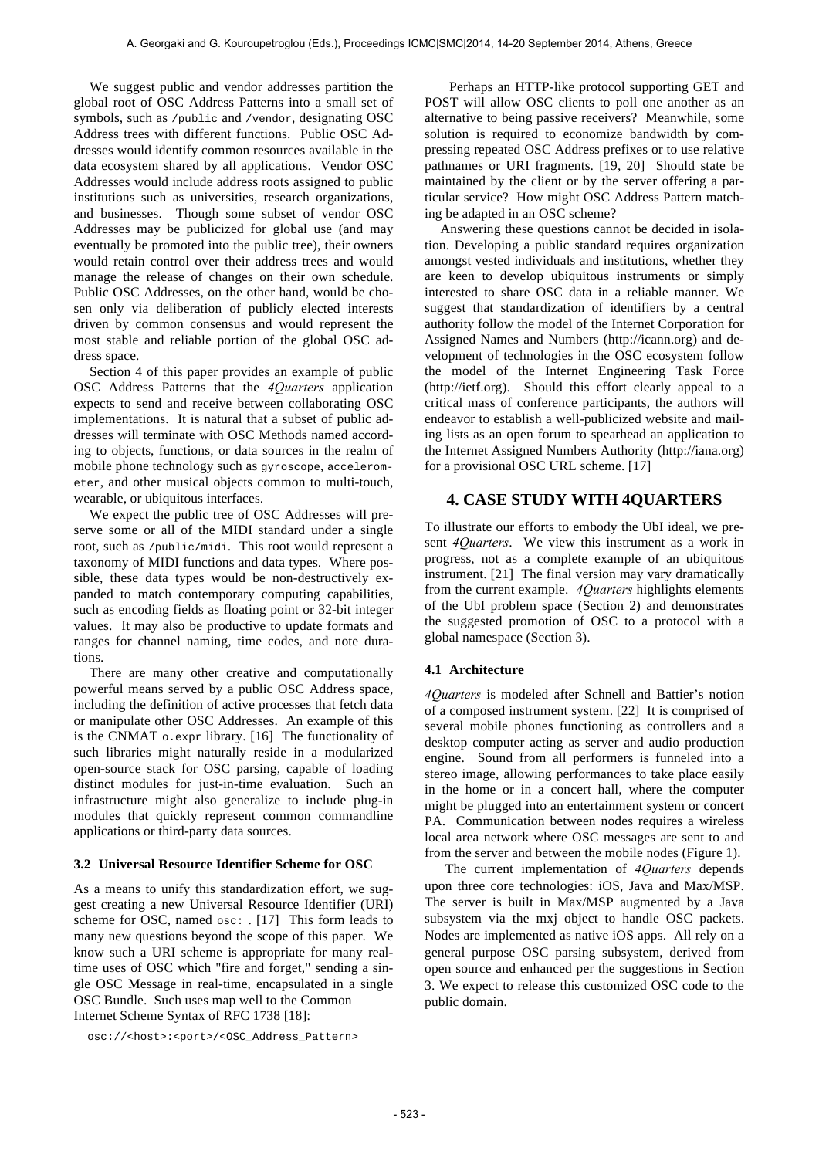We suggest public and vendor addresses partition the global root of OSC Address Patterns into a small set of symbols, such as /public and /vendor, designating OSC Address trees with different functions. Public OSC Addresses would identify common resources available in the data ecosystem shared by all applications. Vendor OSC Addresses would include address roots assigned to public institutions such as universities, research organizations, and businesses. Though some subset of vendor OSC Addresses may be publicized for global use (and may eventually be promoted into the public tree), their owners would retain control over their address trees and would manage the release of changes on their own schedule. Public OSC Addresses, on the other hand, would be chosen only via deliberation of publicly elected interests driven by common consensus and would represent the most stable and reliable portion of the global OSC address space.

Section 4 of this paper provides an example of public OSC Address Patterns that the *4Quarters* application expects to send and receive between collaborating OSC implementations. It is natural that a subset of public addresses will terminate with OSC Methods named according to objects, functions, or data sources in the realm of mobile phone technology such as gyroscope, accelerometer, and other musical objects common to multi-touch, wearable, or ubiquitous interfaces.

We expect the public tree of OSC Addresses will preserve some or all of the MIDI standard under a single root, such as /public/midi. This root would represent a taxonomy of MIDI functions and data types. Where possible, these data types would be non-destructively expanded to match contemporary computing capabilities, such as encoding fields as floating point or 32-bit integer values. It may also be productive to update formats and ranges for channel naming, time codes, and note durations.

There are many other creative and computationally powerful means served by a public OSC Address space, including the definition of active processes that fetch data or manipulate other OSC Addresses. An example of this is the CNMAT  $\circ$ . expr library. [16] The functionality of such libraries might naturally reside in a modularized open-source stack for OSC parsing, capable of loading distinct modules for just-in-time evaluation. Such an infrastructure might also generalize to include plug-in modules that quickly represent common commandline applications or third-party data sources.

#### **3.2 Universal Resource Identifier Scheme for OSC**

As a means to unify this standardization effort, we suggest creating a new Universal Resource Identifier (URI) scheme for OSC, named  $\circ$ sc: . [17] This form leads to many new questions beyond the scope of this paper. We know such a URI scheme is appropriate for many realtime uses of OSC which "fire and forget," sending a single OSC Message in real-time, encapsulated in a single OSC Bundle. Such uses map well to the Common Internet Scheme Syntax of RFC 1738 [18]:

osc://<host>:<port>/<OSC\_Address\_Pattern>

Perhaps an HTTP-like protocol supporting GET and POST will allow OSC clients to poll one another as an alternative to being passive receivers? Meanwhile, some solution is required to economize bandwidth by compressing repeated OSC Address prefixes or to use relative pathnames or URI fragments. [19, 20] Should state be maintained by the client or by the server offering a particular service? How might OSC Address Pattern matching be adapted in an OSC scheme?

Answering these questions cannot be decided in isolation. Developing a public standard requires organization amongst vested individuals and institutions, whether they are keen to develop ubiquitous instruments or simply interested to share OSC data in a reliable manner. We suggest that standardization of identifiers by a central authority follow the model of the Internet Corporation for Assigned Names and Numbers (http://icann.org) and development of technologies in the OSC ecosystem follow the model of the Internet Engineering Task Force (http://ietf.org). Should this effort clearly appeal to a critical mass of conference participants, the authors will endeavor to establish a well-publicized website and mailing lists as an open forum to spearhead an application to the Internet Assigned Numbers Authority (http://iana.org) for a provisional OSC URL scheme. [17]

### **4. CASE STUDY WITH 4QUARTERS**

To illustrate our efforts to embody the UbI ideal, we present *4Quarters*. We view this instrument as a work in progress, not as a complete example of an ubiquitous instrument. [21] The final version may vary dramatically from the current example. *4Quarters* highlights elements of the UbI problem space (Section 2) and demonstrates the suggested promotion of OSC to a protocol with a global namespace (Section 3).

#### **4.1 Architecture**

*4Quarters* is modeled after Schnell and Battier's notion of a composed instrument system. [22] It is comprised of several mobile phones functioning as controllers and a desktop computer acting as server and audio production engine. Sound from all performers is funneled into a stereo image, allowing performances to take place easily in the home or in a concert hall, where the computer might be plugged into an entertainment system or concert PA. Communication between nodes requires a wireless local area network where OSC messages are sent to and from the server and between the mobile nodes (Figure 1).

 The current implementation of *4Quarters* depends upon three core technologies: iOS, Java and Max/MSP. The server is built in Max/MSP augmented by a Java subsystem via the mxj object to handle OSC packets. Nodes are implemented as native iOS apps. All rely on a general purpose OSC parsing subsystem, derived from open source and enhanced per the suggestions in Section 3. We expect to release this customized OSC code to the public domain.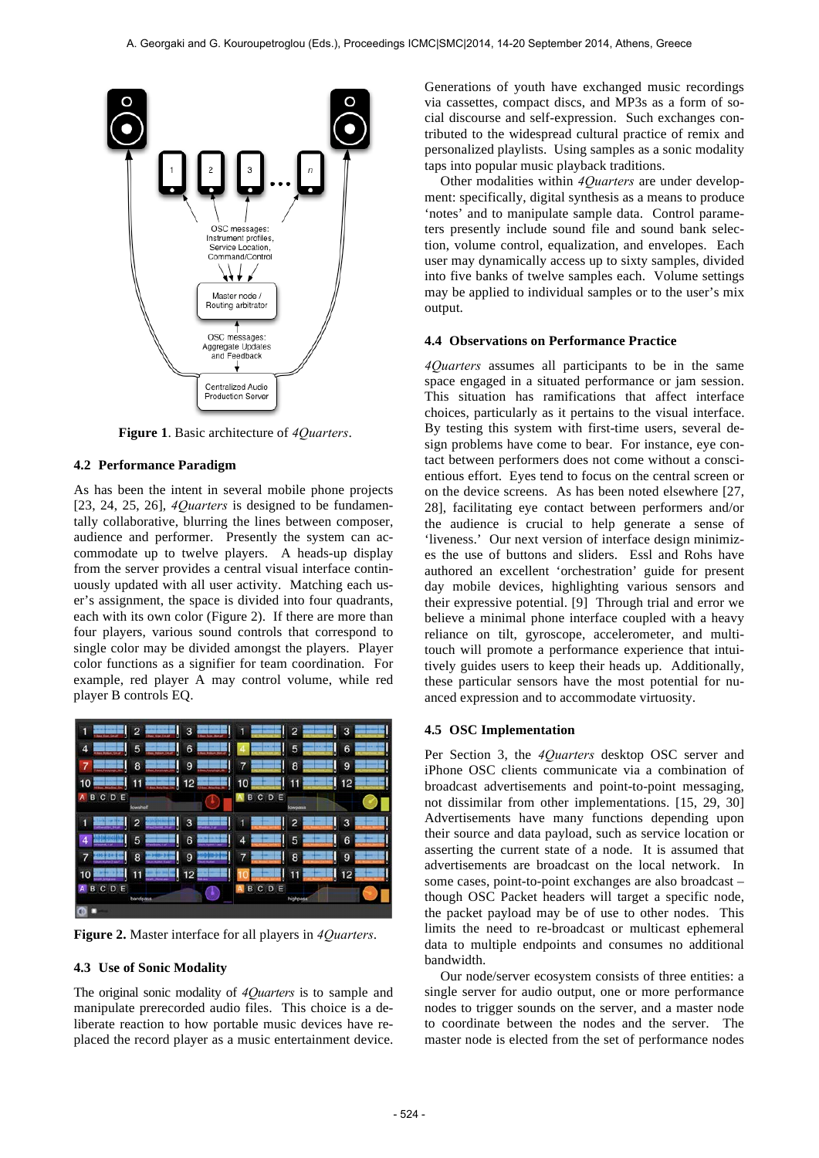

**Figure 1**. Basic architecture of *4Quarters*.

#### **4.2 Performance Paradigm**

As has been the intent in several mobile phone projects [23, 24, 25, 26], *4Quarters* is designed to be fundamentally collaborative, blurring the lines between composer, audience and performer. Presently the system can accommodate up to twelve players. A heads-up display from the server provides a central visual interface continuously updated with all user activity. Matching each user's assignment, the space is divided into four quadrants, each with its own color (Figure 2). If there are more than four players, various sound controls that correspond to single color may be divided amongst the players. Player color functions as a signifier for team coordination. For example, red player A may control volume, while red player B controls EQ.



**Figure 2.** Master interface for all players in *4Quarters*.

#### **4.3 Use of Sonic Modality**

The original sonic modality of *4Quarters* is to sample and manipulate prerecorded audio files. This choice is a deliberate reaction to how portable music devices have replaced the record player as a music entertainment device. Generations of youth have exchanged music recordings via cassettes, compact discs, and MP3s as a form of social discourse and self-expression. Such exchanges contributed to the widespread cultural practice of remix and personalized playlists. Using samples as a sonic modality taps into popular music playback traditions.

Other modalities within *4Quarters* are under development: specifically, digital synthesis as a means to produce 'notes' and to manipulate sample data. Control parameters presently include sound file and sound bank selection, volume control, equalization, and envelopes. Each user may dynamically access up to sixty samples, divided into five banks of twelve samples each. Volume settings may be applied to individual samples or to the user's mix output.

#### **4.4 Observations on Performance Practice**

*4Quarters* assumes all participants to be in the same space engaged in a situated performance or jam session. This situation has ramifications that affect interface choices, particularly as it pertains to the visual interface. By testing this system with first-time users, several design problems have come to bear. For instance, eye contact between performers does not come without a conscientious effort. Eyes tend to focus on the central screen or on the device screens. As has been noted elsewhere [27, 28], facilitating eye contact between performers and/or the audience is crucial to help generate a sense of 'liveness.' Our next version of interface design minimizes the use of buttons and sliders. Essl and Rohs have authored an excellent 'orchestration' guide for present day mobile devices, highlighting various sensors and their expressive potential. [9] Through trial and error we believe a minimal phone interface coupled with a heavy reliance on tilt, gyroscope, accelerometer, and multitouch will promote a performance experience that intuitively guides users to keep their heads up. Additionally, these particular sensors have the most potential for nuanced expression and to accommodate virtuosity.

#### **4.5 OSC Implementation**

Per Section 3, the *4Quarters* desktop OSC server and iPhone OSC clients communicate via a combination of broadcast advertisements and point-to-point messaging, not dissimilar from other implementations. [15, 29, 30] Advertisements have many functions depending upon their source and data payload, such as service location or asserting the current state of a node. It is assumed that advertisements are broadcast on the local network. In some cases, point-to-point exchanges are also broadcast – though OSC Packet headers will target a specific node, the packet payload may be of use to other nodes. This limits the need to re-broadcast or multicast ephemeral data to multiple endpoints and consumes no additional bandwidth.

Our node/server ecosystem consists of three entities: a single server for audio output, one or more performance nodes to trigger sounds on the server, and a master node to coordinate between the nodes and the server. The master node is elected from the set of performance nodes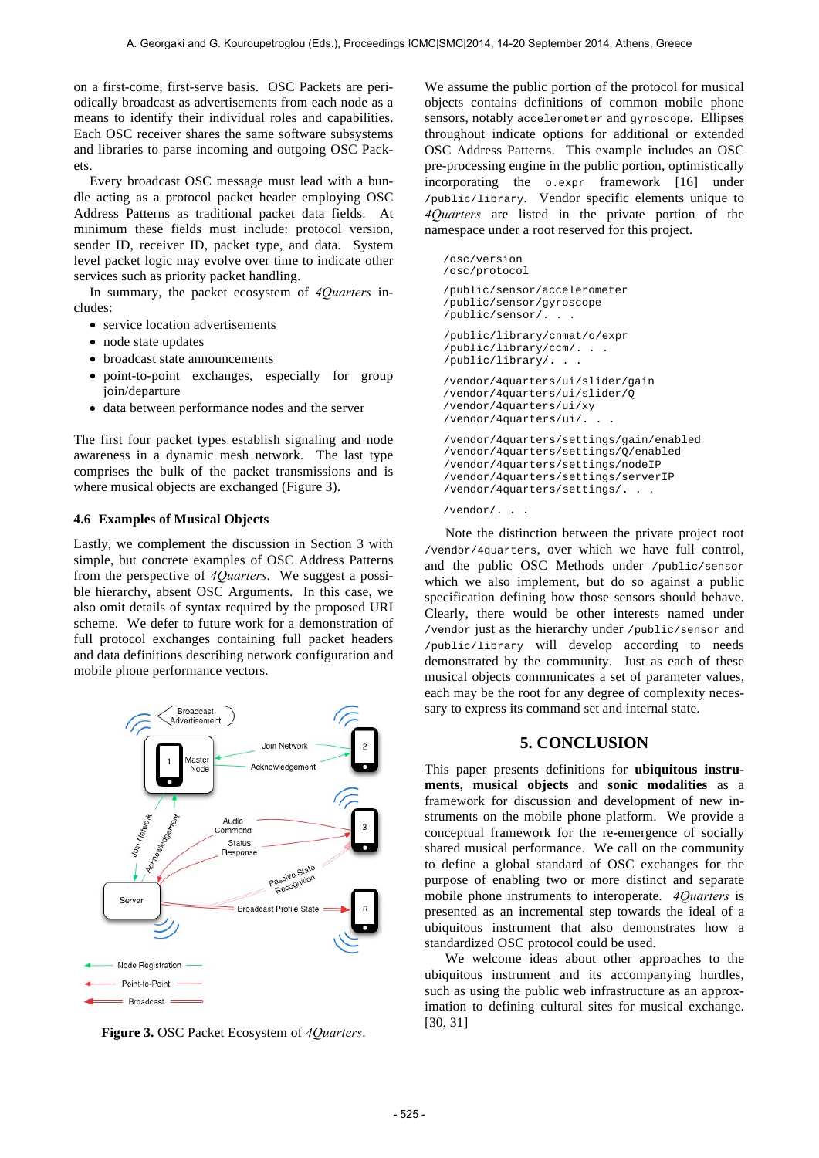on a first-come, first-serve basis. OSC Packets are periodically broadcast as advertisements from each node as a means to identify their individual roles and capabilities. Each OSC receiver shares the same software subsystems and libraries to parse incoming and outgoing OSC Packets.

Every broadcast OSC message must lead with a bundle acting as a protocol packet header employing OSC Address Patterns as traditional packet data fields. At minimum these fields must include: protocol version, sender ID, receiver ID, packet type, and data. System level packet logic may evolve over time to indicate other services such as priority packet handling.

In summary, the packet ecosystem of *4Quarters* includes:

- service location advertisements
- node state updates
- broadcast state announcements
- point-to-point exchanges, especially for group join/departure
- data between performance nodes and the server

The first four packet types establish signaling and node awareness in a dynamic mesh network. The last type comprises the bulk of the packet transmissions and is where musical objects are exchanged (Figure 3).

### **4.6 Examples of Musical Objects**

Lastly, we complement the discussion in Section 3 with simple, but concrete examples of OSC Address Patterns from the perspective of *4Quarters*. We suggest a possible hierarchy, absent OSC Arguments. In this case, we also omit details of syntax required by the proposed URI scheme. We defer to future work for a demonstration of full protocol exchanges containing full packet headers and data definitions describing network configuration and mobile phone performance vectors.



**Figure 3.** OSC Packet Ecosystem of *4Quarters*.

We assume the public portion of the protocol for musical objects contains definitions of common mobile phone sensors, notably accelerometer and gyroscope. Ellipses throughout indicate options for additional or extended OSC Address Patterns. This example includes an OSC pre-processing engine in the public portion, optimistically incorporating the o.expr framework [16] under /public/library. Vendor specific elements unique to *4Quarters* are listed in the private portion of the namespace under a root reserved for this project.

```
/osc/version
/osc/protocol
/public/sensor/accelerometer
/public/sensor/gyroscope
/public/sensor/. . .
/public/library/cnmat/o/expr
/public/library/ccm/. . .
/public/library/. . .
/vendor/4quarters/ui/slider/gain
/vendor/4quarters/ui/slider/Q
/vendor/4quarters/ui/xy
/vendor/4quarters/ui/. . .
/vendor/4quarters/settings/gain/enabled
/vendor/4quarters/settings/Q/enabled
/vendor/4quarters/settings/nodeIP
/vendor/4quarters/settings/serverIP
/vendor/4quarters/settings/. . .
```
/vendor/. . .

 Note the distinction between the private project root /vendor/4quarters, over which we have full control, and the public OSC Methods under /public/sensor which we also implement, but do so against a public specification defining how those sensors should behave. Clearly, there would be other interests named under /vendor just as the hierarchy under /public/sensor and /public/library will develop according to needs demonstrated by the community. Just as each of these musical objects communicates a set of parameter values, each may be the root for any degree of complexity necessary to express its command set and internal state.

# **5. CONCLUSION**

This paper presents definitions for **ubiquitous instruments**, **musical objects** and **sonic modalities** as a framework for discussion and development of new instruments on the mobile phone platform. We provide a conceptual framework for the re-emergence of socially shared musical performance. We call on the community to define a global standard of OSC exchanges for the purpose of enabling two or more distinct and separate mobile phone instruments to interoperate. *4Quarters* is presented as an incremental step towards the ideal of a ubiquitous instrument that also demonstrates how a standardized OSC protocol could be used.

 We welcome ideas about other approaches to the ubiquitous instrument and its accompanying hurdles, such as using the public web infrastructure as an approximation to defining cultural sites for musical exchange. [30, 31]